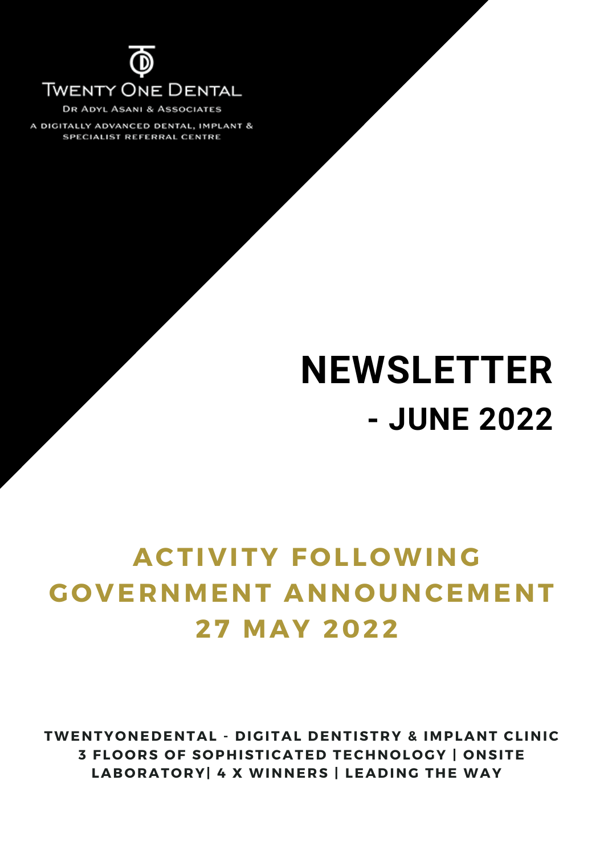

**DR ADYL ASANI & ASSOCIATES** 

A DIGITALLY ADVANCED DENTAL, IMPLANT & SPECIALIST REFERRAL CENTRE

# **NEWSLETTER - JUNE 2022**

# **ACTIVITY F O LL OWING G O VERNMENT ANN O UNCEMENT 27 MAY 2022**

**TWENTY O NEDENTAL - DIGITAL DENTISTRY & IMPLANT CLINIC 3 FL O O RS O F S O PHISTICATED TECHN O L O GY | O NSITE LAB O RAT O RY| 4 X WINNERS | LEADING THE WAY**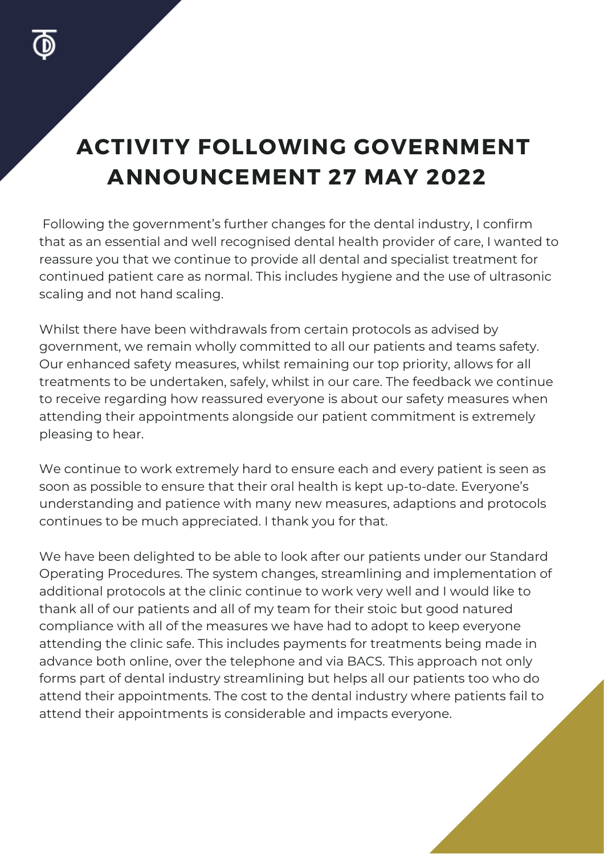## **ACTIVITY FOLLOWING GOVERNMENT ANNOUNCEMENT 27 MAY 2022**

Following the government's further changes for the dental industry, I confirm that as an essential and well recognised dental health provider of care, I wanted to reassure you that we continue to provide all dental and specialist treatment for continued patient care as normal. This includes hygiene and the use of ultrasonic scaling and not hand scaling.

Whilst there have been withdrawals from certain protocols as advised by government, we remain wholly committed to all our patients and teams safety. Our enhanced safety measures, whilst remaining our top priority, allows for all treatments to be undertaken, safely, whilst in our care. The feedback we continue to receive regarding how reassured everyone is about our safety measures when attending their appointments alongside our patient commitment is extremely pleasing to hear.

We continue to work extremely hard to ensure each and every patient is seen as soon as possible to ensure that their oral health is kept up-to-date. Everyone's understanding and patience with many new measures, adaptions and protocols continues to be much appreciated. I thank you for that.

advance both online, over the telephone and via BACS. This approach not only<br>-We have been delighted to be able to look after our patients under our Standard Operating Procedures. The system changes, streamlining and implementation of additional protocols at the clinic continue to work very well and I would like to thank all of our patients and all of my team for their stoic but good natured compliance with all of the measures we have had to adopt to keep everyone attending the clinic safe. This includes payments for treatments being made in forms part of dental industry streamlining but helps all our patients too who do attend their appointments. The cost to the dental industry where patients fail to attend their appointments is considerable and impacts everyone.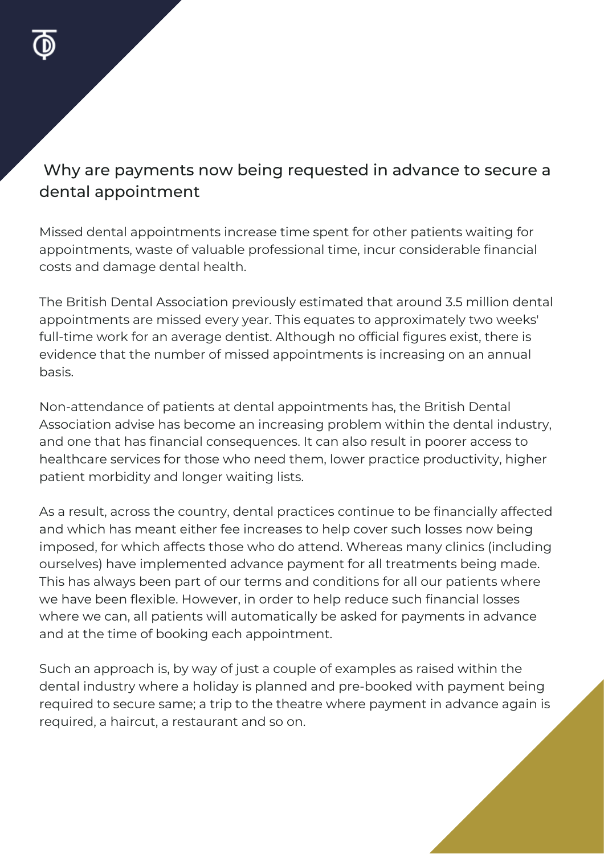#### Why are payments now being requested in advance to secure a dental appointment

Missed dental appointments increase time spent for other patients waiting for appointments, waste of valuable professional time, incur considerable financial costs and damage dental health.

The British Dental Association previously estimated that around 3.5 million dental appointments are missed every year. This equates to approximately two weeks' full-time work for an average dentist. Although no official figures exist, there is evidence that the number of missed appointments is increasing on an annual basis.

Non-attendance of patients at dental appointments has, the British Dental Association advise has become an increasing problem within the dental industry, and one that has financial consequences. It can also result in poorer access to healthcare services for those who need them, lower practice productivity, higher patient morbidity and longer waiting lists.

As a result, across the country, dental practices continue to be financially affected and which has meant either fee increases to help cover such losses now being imposed, for which affects those who do attend. Whereas many clinics (including ourselves) have implemented advance payment for all treatments being made. This has always been part of our terms and conditions for all our patients where we have been flexible. However, in order to help reduce such financial losses where we can, all patients will automatically be asked for payments in advance and at the time of booking each appointment.

Such an approach is, by way of just a couple of examples as raised within the dental industry where a holiday is planned and pre-booked with payment being required to secure same; a trip to the theatre where payment in advance again is required, a haircut, a restaurant and so on.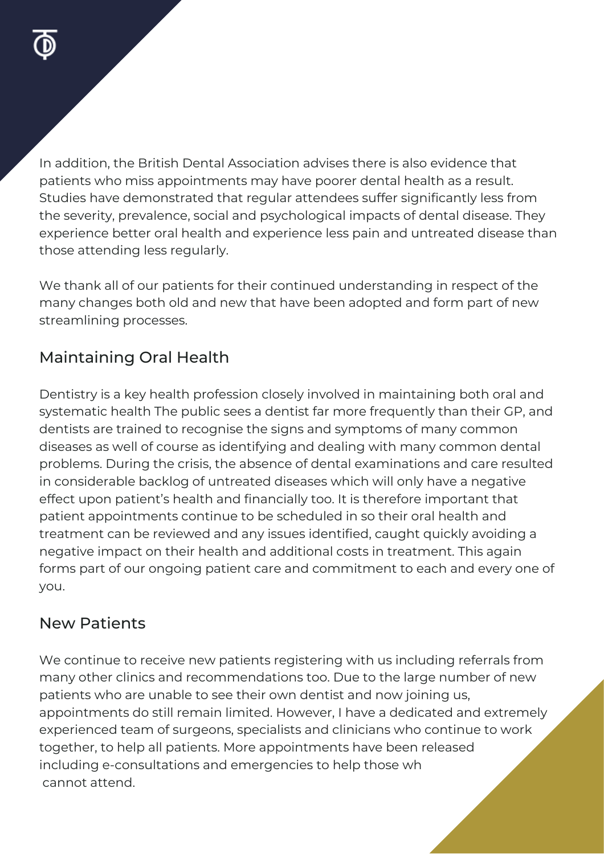In addition, the British Dental Association advises there is also evidence that patients who miss appointments may have poorer dental health as a result. Studies have demonstrated that regular attendees suffer significantly less from the severity, prevalence, social and psychological impacts of dental disease. They experience better oral health and experience less pain and untreated disease than those attending less regularly.

We thank all of our patients for their continued understanding in respect of the many changes both old and new that have been adopted and form part of new streamlining processes.

#### Maintaining Oral Health

Dentistry is a key health profession closely involved in maintaining both oral and systematic health The public sees a dentist far more frequently than their GP, and dentists are trained to recognise the signs and symptoms of many common diseases as well of course as identifying and dealing with many common dental problems. During the crisis, the absence of dental examinations and care resulted in considerable backlog of untreated diseases which will only have a negative effect upon patient's health and financially too. It is therefore important that patient appointments continue to be scheduled in so their oral health and treatment can be reviewed and any issues identified, caught quickly avoiding a negative impact on their health and additional costs in treatment. This again forms part of our ongoing patient care and commitment to each and every one of you.

#### New Patients

We continue to receive new patients registering with us including referrals from<br>we want have living and management detiremates. Durate the laws manual surface w many other clinics and recommendations too. Due to the large number of new patients who are unable to see their own dentist and now joining us, appointments do still remain limited. However, I have a dedicated and extremely experienced team of surgeons, specialists and clinicians who continue to work together, to help all patients. More appointments have been released including e-consultations and emergencies to help those wh cannot attend.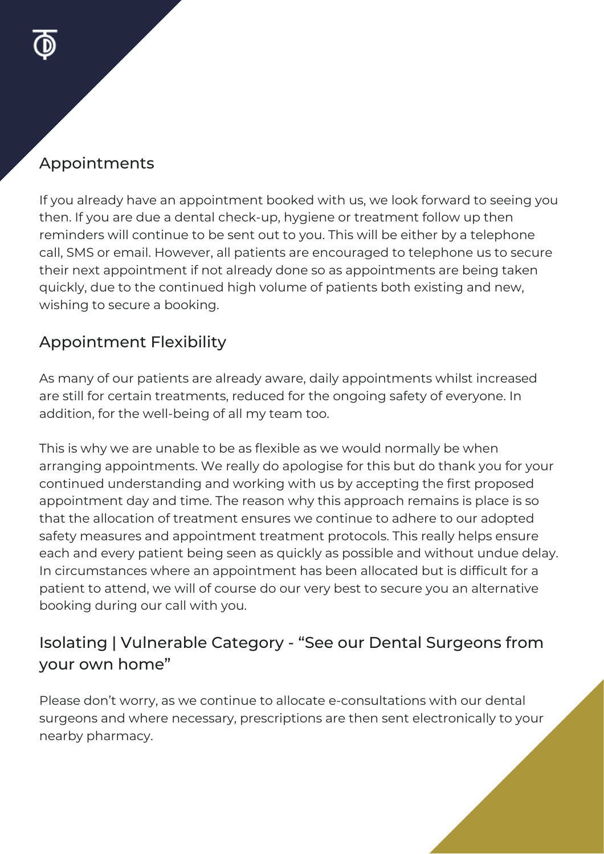#### Appointments

If you already have an appointment booked with us, we look forward to seeing you then. If you are due a dental check-up, hygiene or treatment follow up then reminders will continue to be sent out to you. This will be either by a telephone call, SMS or email. However, all patients are encouraged to telephone us to secure their next appointment if not already done so as appointments are being taken quickly, due to the continued high volume of patients both existing and new, wishing to secure a booking.

#### Appointment Flexibility

As many of our patients are already aware, daily appointments whilst increased are still for certain treatments, reduced for the ongoing safety of everyone. In addition, for the well-being of all my team too.

This is why we are unable to be as flexible as we would normally be when arranging appointments. We really do apologise for this but do thank you for your continued understanding and working with us by accepting the first proposed appointment day and time. The reason why this approach remains is place is so that the allocation of treatment ensures we continue to adhere to our adopted safety measures and appointment treatment protocols. This really helps ensure each and every patient being seen as quickly as possible and without undue delay. In circumstances where an appointment has been allocated but is difficult for a patient to attend, we will of course do our very best to secure you an alternative booking during our call with you.

#### Isolating | Vulnerable Category - "See our Dental Surgeons from your own home"

Please don't worry, as we continue to allocate e-consultations with our dental surgeons and where necessary, prescriptions are then sent electronically to your nearby pharmacy.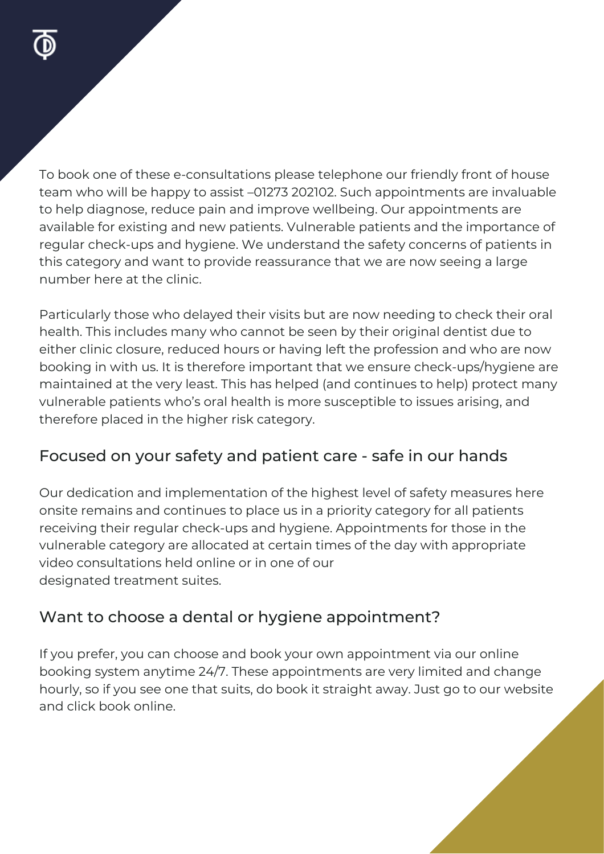To book one of these e-consultations please telephone our friendly front of house team who will be happy to assist –01273 202102. Such appointments are invaluable to help diagnose, reduce pain and improve wellbeing. Our appointments are available for existing and new patients. Vulnerable patients and the importance of regular check-ups and hygiene. We understand the safety concerns of patients in this category and want to provide reassurance that we are now seeing a large number here at the clinic.

Particularly those who delayed their visits but are now needing to check their oral health. This includes many who cannot be seen by their original dentist due to either clinic closure, reduced hours or having left the profession and who are now booking in with us. It is therefore important that we ensure check-ups/hygiene are maintained at the very least. This has helped (and continues to help) protect many vulnerable patients who's oral health is more susceptible to issues arising, and therefore placed in the higher risk category.

#### Focused on your safety and patient care - safe in our hands

Our dedication and implementation of the highest level of safety measures here onsite remains and continues to place us in a priority category for all patients receiving their regular check-ups and hygiene. Appointments for those in the vulnerable category are allocated at certain times of the day with appropriate video consultations held online or in one of our designated treatment suites.

#### Want to choose a dental or hygiene appointment?

**VIEW MORE** booking system anytime 24/7. These appointments are very limited and change If you prefer, you can choose and book your own appointment via our online hourly, so if you see one that suits, do book it straight away. Just go to our website and click book online.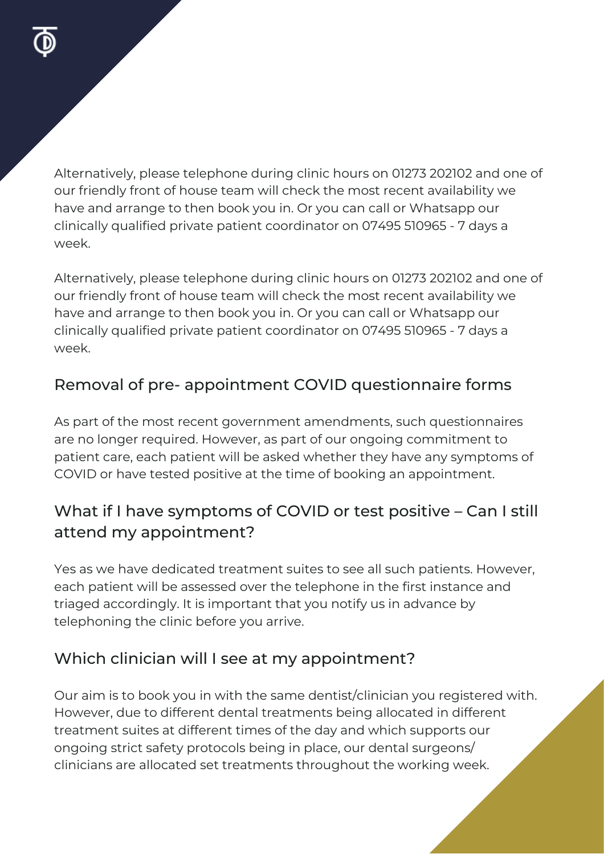Alternatively, please telephone during clinic hours on 01273 202102 and one of our friendly front of house team will check the most recent availability we have and arrange to then book you in. Or you can call or Whatsapp our clinically qualified private patient coordinator on 07495 510965 - 7 days a week.

Alternatively, please telephone during clinic hours on 01273 202102 and one of our friendly front of house team will check the most recent availability we have and arrange to then book you in. Or you can call or Whatsapp our clinically qualified private patient coordinator on 07495 510965 - 7 days a week.

#### Removal of pre- appointment COVID questionnaire forms

As part of the most recent government amendments, such questionnaires are no longer required. However, as part of our ongoing commitment to patient care, each patient will be asked whether they have any symptoms of COVID or have tested positive at the time of booking an appointment.

#### What if I have symptoms of COVID or test positive – Can I still attend my appointment?

Yes as we have dedicated treatment suites to see all such patients. However, each patient will be assessed over the telephone in the first instance and triaged accordingly. It is important that you notify us in advance by telephoning the clinic before you arrive.

### Which clinician will I see at my appointment?

Our aim is to book you in with the same dentist/clinician you registered with. However, due to different dental treatments being allocated in different treatment suites at different times of the day and which supports our ongoing strict safety protocols being in place, our dental surgeons/ clinicians are allocated set treatments throughout the working week.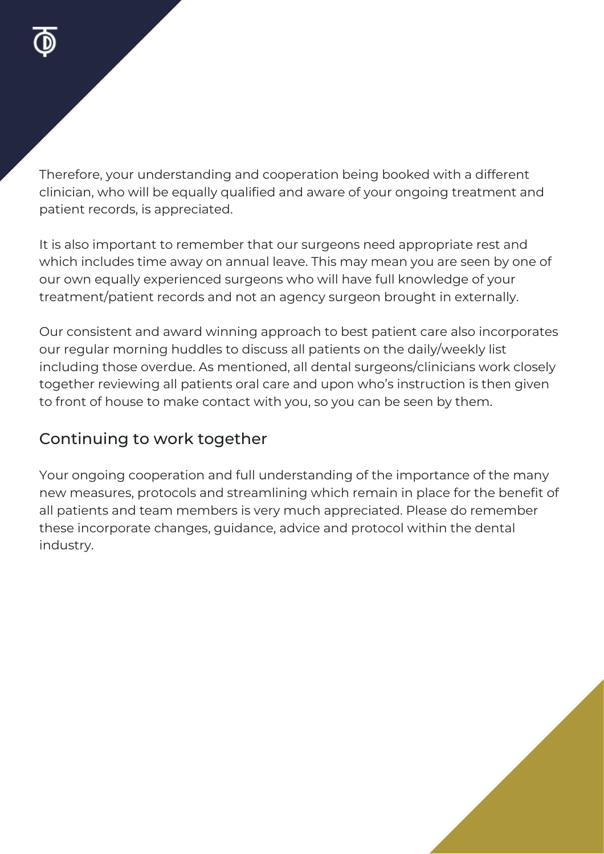Therefore, your understanding and cooperation being booked with a different clinician, who will be equally qualified and aware of your ongoing treatment and patient records, is appreciated.

It is also important to remember that our surgeons need appropriate rest and which includes time away on annual leave. This may mean you are seen by one of our own equally experienced surgeons who will have full knowledge of your treatment/patient records and not an agency surgeon brought in externally.

Our consistent and award winning approach to best patient care also incorporates our regular morning huddles to discuss all patients on the daily/weekly list including those overdue. As mentioned, all dental surgeons/clinicians work closely together reviewing all patients oral care and upon who's instruction is then given to front of house to make contact with you, so you can be seen by them.

#### Continuing to work together

Your ongoing cooperation and full understanding of the importance of the many new measures, protocols and streamlining which remain in place for the benefit of all patients and team members is very much appreciated. Please do remember these incorporate changes, guidance, advice and protocol within the dental industry.